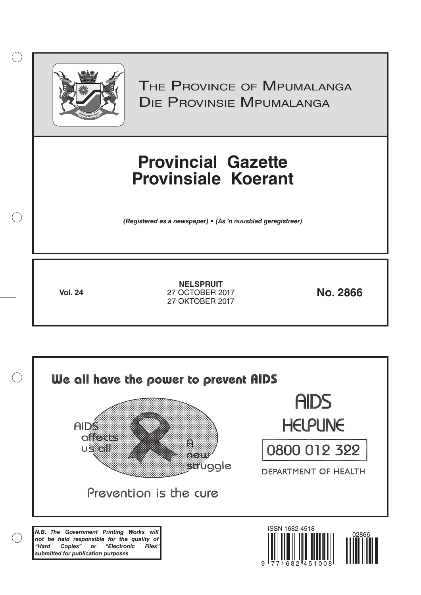

 $( )$ 

THE PROVINCE OF MPUMALANGA Die Provinsie Mpumalanga

# **Provincial Gazette Provinsiale Koerant**

*(Registered as a newspaper) • (As 'n nuusblad geregistreer)*

**Vol. 24 No. 2866** 27 OCTOBER 2017 **NELSPRUIT** 27 OKTOBER 2017

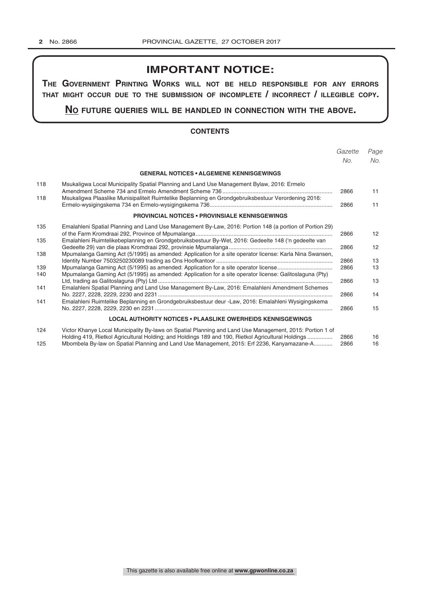# **IMPORTANT NOTICE:**

**The GovernmenT PrinTinG Works Will noT be held resPonsible for any errors ThaT miGhT occur due To The submission of incomPleTe / incorrecT / illeGible coPy.**

**no fuTure queries Will be handled in connecTion WiTh The above.**

### **CONTENTS**

|            |                                                                                                                                                                                                                | Gazette | Page            |
|------------|----------------------------------------------------------------------------------------------------------------------------------------------------------------------------------------------------------------|---------|-----------------|
|            |                                                                                                                                                                                                                | No.     | No.             |
|            | <b>GENERAL NOTICES • ALGEMENE KENNISGEWINGS</b>                                                                                                                                                                |         |                 |
| 118        | Msukaligwa Local Municipality Spatial Planning and Land Use Management Bylaw, 2016: Ermelo                                                                                                                     | 2866    | 11              |
| 118        | Msukaligwa Plaaslike Munisipaliteit Ruimtelike Beplanning en Grondgebruiksbestuur Verordening 2016:                                                                                                            | 2866    | 11              |
|            | <b>PROVINCIAL NOTICES • PROVINSIALE KENNISGEWINGS</b>                                                                                                                                                          |         |                 |
| 135        | Emalahleni Spatial Planning and Land Use Management By-Law, 2016: Portion 148 (a portion of Portion 29)                                                                                                        | 2866    | 12 <sup>2</sup> |
| 135        | Emalahleni Ruimtelikebeplanning en Grondgebruiksbestuur By-Wet, 2016: Gedeelte 148 ('n gedeelte van                                                                                                            | 2866    | 12              |
| 138        | Mpumalanga Gaming Act (5/1995) as amended: Application for a site operator license: Karla Nina Swansen,                                                                                                        | 2866    | 13              |
| 139<br>140 | Mpumalanga Gaming Act (5/1995) as amended: Application for a site operator license<br>Mpumalanga Gaming Act (5/1995) as amended: Application for a site operator license: Galitoslaguna (Pty)                  | 2866    | 13              |
| 141        | Emalahleni Spatial Planning and Land Use Management By-Law, 2016: Emalahleni Amendment Schemes                                                                                                                 | 2866    | 13              |
| 141        | Emalahleni Ruimtelike Beplanning en Grondgebruiksbestuur deur -Law, 2016: Emalahleni Wysigingskema                                                                                                             | 2866    | 14              |
|            |                                                                                                                                                                                                                | 2866    | 15              |
|            | <b>LOCAL AUTHORITY NOTICES • PLAASLIKE OWERHEIDS KENNISGEWINGS</b>                                                                                                                                             |         |                 |
| 124        | Victor Khanye Local Municipality By-laws on Spatial Planning and Land Use Management, 2015: Portion 1 of<br>Holding 419, Rietkol Agricultural Holding; and Holdings 189 and 190, Rietkol Agricultural Holdings | 2866    | 16              |
| 125        | Mbombela By-law on Spatial Planning and Land Use Management, 2015: Erf 2236, Kanyamazane-A                                                                                                                     | 2866    | 16              |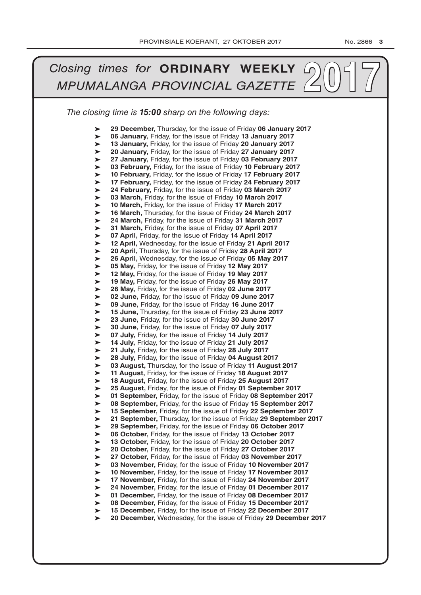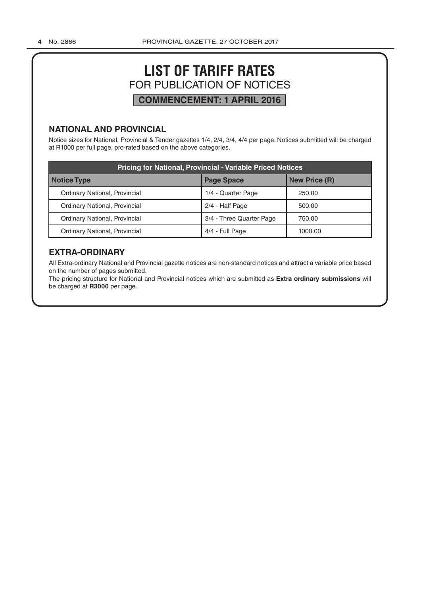# **LIST OF TARIFF RATES** FOR PUBLICATION OF NOTICES **COMMENCEMENT: 1 APRIL 2016**

### **NATIONAL AND PROVINCIAL**

Notice sizes for National, Provincial & Tender gazettes 1/4, 2/4, 3/4, 4/4 per page. Notices submitted will be charged at R1000 per full page, pro-rated based on the above categories.

| <b>Pricing for National, Provincial - Variable Priced Notices</b> |                          |                      |  |  |  |  |
|-------------------------------------------------------------------|--------------------------|----------------------|--|--|--|--|
| Notice Type                                                       | <b>Page Space</b>        | <b>New Price (R)</b> |  |  |  |  |
| Ordinary National, Provincial                                     | 1/4 - Quarter Page       | 250.00               |  |  |  |  |
| Ordinary National, Provincial                                     | 2/4 - Half Page          | 500.00               |  |  |  |  |
| Ordinary National, Provincial                                     | 3/4 - Three Quarter Page | 750.00               |  |  |  |  |
| Ordinary National, Provincial                                     | 4/4 - Full Page          | 1000.00              |  |  |  |  |

## **EXTRA-ORDINARY**

All Extra-ordinary National and Provincial gazette notices are non-standard notices and attract a variable price based on the number of pages submitted.

The pricing structure for National and Provincial notices which are submitted as **Extra ordinary submissions** will be charged at **R3000** per page.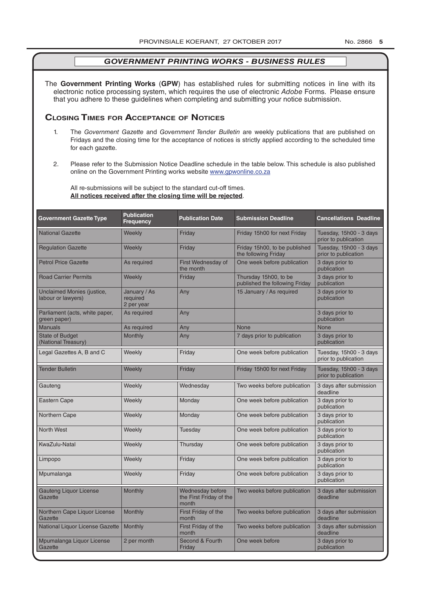The **Government Printing Works** (**GPW**) has established rules for submitting notices in line with its electronic notice processing system, which requires the use of electronic *Adobe* Forms. Please ensure that you adhere to these guidelines when completing and submitting your notice submission.

### **Closing Times for ACCepTAnCe of noTiCes**

- 1. The *Government Gazette* and *Government Tender Bulletin* are weekly publications that are published on Fridays and the closing time for the acceptance of notices is strictly applied according to the scheduled time for each gazette.
- 2. Please refer to the Submission Notice Deadline schedule in the table below. This schedule is also published online on the Government Printing works website www.gpwonline.co.za

All re-submissions will be subject to the standard cut-off times. **All notices received after the closing time will be rejected**.

| <b>Government Gazette Type</b>                   | <b>Publication</b><br><b>Frequency</b> | <b>Publication Date</b>                              | <b>Submission Deadline</b>                              | <b>Cancellations Deadline</b>                   |
|--------------------------------------------------|----------------------------------------|------------------------------------------------------|---------------------------------------------------------|-------------------------------------------------|
| <b>National Gazette</b>                          | Weekly                                 | Friday                                               | Friday 15h00 for next Friday                            | Tuesday, 15h00 - 3 days<br>prior to publication |
| <b>Regulation Gazette</b>                        | Weekly                                 | Friday                                               | Friday 15h00, to be published<br>the following Friday   | Tuesday, 15h00 - 3 days<br>prior to publication |
| <b>Petrol Price Gazette</b>                      | As required                            | First Wednesday of<br>the month                      | One week before publication                             | 3 days prior to<br>publication                  |
| <b>Road Carrier Permits</b>                      | Weekly                                 | Friday                                               | Thursday 15h00, to be<br>published the following Friday | 3 days prior to<br>publication                  |
| Unclaimed Monies (justice,<br>labour or lawyers) | January / As<br>required<br>2 per year | Any                                                  | 15 January / As required                                | 3 days prior to<br>publication                  |
| Parliament (acts, white paper,<br>green paper)   | As required                            | Any                                                  |                                                         | 3 days prior to<br>publication                  |
| <b>Manuals</b>                                   | As required                            | Any                                                  | <b>None</b>                                             | <b>None</b>                                     |
| <b>State of Budget</b><br>(National Treasury)    | <b>Monthly</b>                         | Any                                                  | 7 days prior to publication                             | 3 days prior to<br>publication                  |
| Legal Gazettes A, B and C                        | Weekly                                 | Friday                                               | One week before publication                             | Tuesday, 15h00 - 3 days<br>prior to publication |
| <b>Tender Bulletin</b>                           | Weekly                                 | Friday                                               | Friday 15h00 for next Friday                            | Tuesday, 15h00 - 3 days<br>prior to publication |
| Gauteng                                          | Weekly                                 | Wednesday                                            | Two weeks before publication                            | 3 days after submission<br>deadline             |
| <b>Eastern Cape</b>                              | Weekly                                 | Monday                                               | One week before publication                             | 3 days prior to<br>publication                  |
| Northern Cape                                    | Weekly                                 | Monday                                               | One week before publication                             | 3 days prior to<br>publication                  |
| <b>North West</b>                                | Weekly                                 | Tuesday                                              | One week before publication                             | 3 days prior to<br>publication                  |
| KwaZulu-Natal                                    | Weekly                                 | Thursday                                             | One week before publication                             | 3 days prior to<br>publication                  |
| Limpopo                                          | Weekly                                 | Friday                                               | One week before publication                             | 3 days prior to<br>publication                  |
| Mpumalanga                                       | Weekly                                 | Friday                                               | One week before publication                             | 3 days prior to<br>publication                  |
| <b>Gauteng Liquor License</b><br>Gazette         | Monthly                                | Wednesday before<br>the First Friday of the<br>month | Two weeks before publication                            | 3 days after submission<br>deadline             |
| Northern Cape Liquor License<br>Gazette          | Monthly                                | First Friday of the<br>month                         | Two weeks before publication                            | 3 days after submission<br>deadline             |
| National Liquor License Gazette                  | <b>Monthly</b>                         | First Friday of the<br>month                         | Two weeks before publication                            | 3 days after submission<br>deadline             |
| Mpumalanga Liquor License<br>Gazette             | 2 per month                            | Second & Fourth<br>Friday                            | One week before                                         | 3 days prior to<br>publication                  |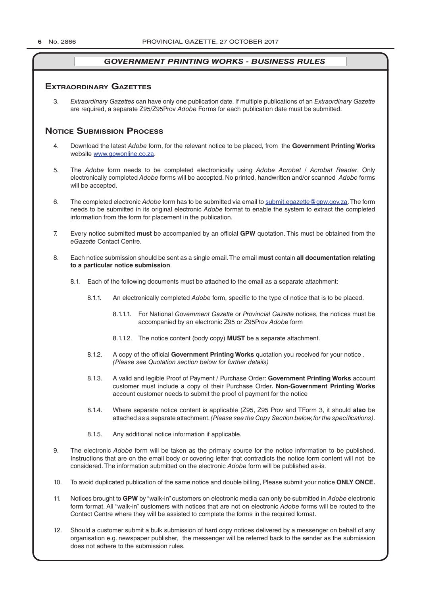### **exTrAordinAry gAzeTTes**

3. *Extraordinary Gazettes* can have only one publication date. If multiple publications of an *Extraordinary Gazette* are required, a separate Z95/Z95Prov *Adobe* Forms for each publication date must be submitted.

### **NOTICE SUBMISSION PROCESS**

- 4. Download the latest *Adobe* form, for the relevant notice to be placed, from the **Government Printing Works** website www.gpwonline.co.za.
- 5. The *Adobe* form needs to be completed electronically using *Adobe Acrobat* / *Acrobat Reader*. Only electronically completed *Adobe* forms will be accepted. No printed, handwritten and/or scanned *Adobe* forms will be accepted.
- 6. The completed electronic *Adobe* form has to be submitted via email to submit.egazette@gpw.gov.za. The form needs to be submitted in its original electronic *Adobe* format to enable the system to extract the completed information from the form for placement in the publication.
- 7. Every notice submitted **must** be accompanied by an official **GPW** quotation. This must be obtained from the *eGazette* Contact Centre.
- 8. Each notice submission should be sent as a single email. The email **must** contain **all documentation relating to a particular notice submission**.
	- 8.1. Each of the following documents must be attached to the email as a separate attachment:
		- 8.1.1. An electronically completed *Adobe* form, specific to the type of notice that is to be placed.
			- 8.1.1.1. For National *Government Gazette* or *Provincial Gazette* notices, the notices must be accompanied by an electronic Z95 or Z95Prov *Adobe* form
			- 8.1.1.2. The notice content (body copy) **MUST** be a separate attachment.
		- 8.1.2. A copy of the official **Government Printing Works** quotation you received for your notice . *(Please see Quotation section below for further details)*
		- 8.1.3. A valid and legible Proof of Payment / Purchase Order: **Government Printing Works** account customer must include a copy of their Purchase Order*.* **Non**-**Government Printing Works** account customer needs to submit the proof of payment for the notice
		- 8.1.4. Where separate notice content is applicable (Z95, Z95 Prov and TForm 3, it should **also** be attached as a separate attachment. *(Please see the Copy Section below, for the specifications)*.
		- 8.1.5. Any additional notice information if applicable.
- 9. The electronic *Adobe* form will be taken as the primary source for the notice information to be published. Instructions that are on the email body or covering letter that contradicts the notice form content will not be considered. The information submitted on the electronic *Adobe* form will be published as-is.
- 10. To avoid duplicated publication of the same notice and double billing, Please submit your notice **ONLY ONCE.**
- 11. Notices brought to **GPW** by "walk-in" customers on electronic media can only be submitted in *Adobe* electronic form format. All "walk-in" customers with notices that are not on electronic *Adobe* forms will be routed to the Contact Centre where they will be assisted to complete the forms in the required format.
- 12. Should a customer submit a bulk submission of hard copy notices delivered by a messenger on behalf of any organisation e.g. newspaper publisher, the messenger will be referred back to the sender as the submission does not adhere to the submission rules.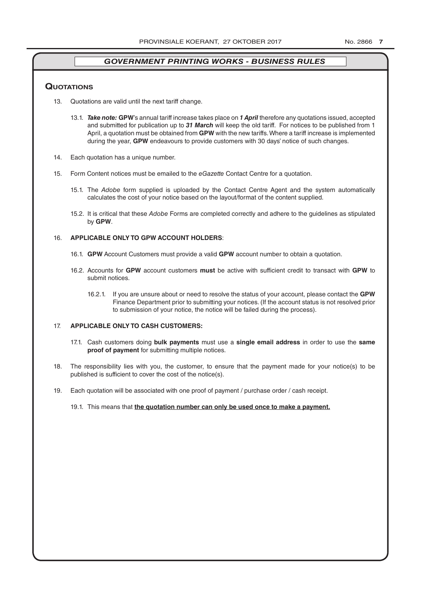### **QuoTATions**

- 13. Quotations are valid until the next tariff change.
	- 13.1. *Take note:* **GPW**'s annual tariff increase takes place on *1 April* therefore any quotations issued, accepted and submitted for publication up to *31 March* will keep the old tariff. For notices to be published from 1 April, a quotation must be obtained from **GPW** with the new tariffs. Where a tariff increase is implemented during the year, **GPW** endeavours to provide customers with 30 days' notice of such changes.
- 14. Each quotation has a unique number.
- 15. Form Content notices must be emailed to the *eGazette* Contact Centre for a quotation.
	- 15.1. The *Adobe* form supplied is uploaded by the Contact Centre Agent and the system automatically calculates the cost of your notice based on the layout/format of the content supplied.
	- 15.2. It is critical that these *Adobe* Forms are completed correctly and adhere to the guidelines as stipulated by **GPW**.

### 16. **APPLICABLE ONLY TO GPW ACCOUNT HOLDERS**:

- 16.1. **GPW** Account Customers must provide a valid **GPW** account number to obtain a quotation.
- 16.2. Accounts for **GPW** account customers **must** be active with sufficient credit to transact with **GPW** to submit notices.
	- 16.2.1. If you are unsure about or need to resolve the status of your account, please contact the **GPW** Finance Department prior to submitting your notices. (If the account status is not resolved prior to submission of your notice, the notice will be failed during the process).

### 17. **APPLICABLE ONLY TO CASH CUSTOMERS:**

- 17.1. Cash customers doing **bulk payments** must use a **single email address** in order to use the **same proof of payment** for submitting multiple notices.
- 18. The responsibility lies with you, the customer, to ensure that the payment made for your notice(s) to be published is sufficient to cover the cost of the notice(s).
- 19. Each quotation will be associated with one proof of payment / purchase order / cash receipt.
	- 19.1. This means that **the quotation number can only be used once to make a payment.**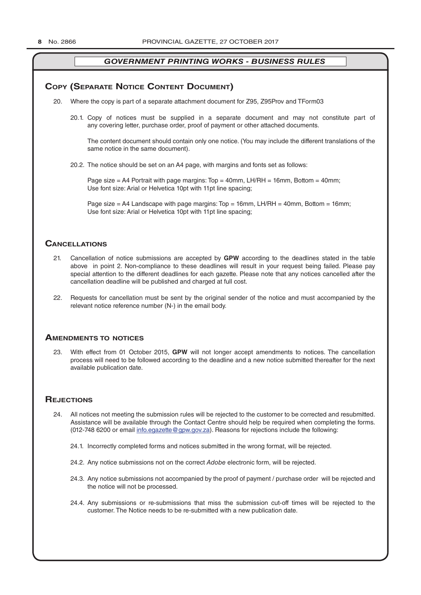### **COPY (SEPARATE NOTICE CONTENT DOCUMENT)**

- 20. Where the copy is part of a separate attachment document for Z95, Z95Prov and TForm03
	- 20.1. Copy of notices must be supplied in a separate document and may not constitute part of any covering letter, purchase order, proof of payment or other attached documents.

The content document should contain only one notice. (You may include the different translations of the same notice in the same document).

20.2. The notice should be set on an A4 page, with margins and fonts set as follows:

Page size  $=$  A4 Portrait with page margins: Top  $=$  40mm, LH/RH  $=$  16mm, Bottom  $=$  40mm; Use font size: Arial or Helvetica 10pt with 11pt line spacing;

Page size = A4 Landscape with page margins: Top = 16mm, LH/RH = 40mm, Bottom = 16mm; Use font size: Arial or Helvetica 10pt with 11pt line spacing;

### **CAnCellATions**

- 21. Cancellation of notice submissions are accepted by **GPW** according to the deadlines stated in the table above in point 2. Non-compliance to these deadlines will result in your request being failed. Please pay special attention to the different deadlines for each gazette. Please note that any notices cancelled after the cancellation deadline will be published and charged at full cost.
- 22. Requests for cancellation must be sent by the original sender of the notice and must accompanied by the relevant notice reference number (N-) in the email body.

### **AmendmenTs To noTiCes**

23. With effect from 01 October 2015, **GPW** will not longer accept amendments to notices. The cancellation process will need to be followed according to the deadline and a new notice submitted thereafter for the next available publication date.

### **REJECTIONS**

- 24. All notices not meeting the submission rules will be rejected to the customer to be corrected and resubmitted. Assistance will be available through the Contact Centre should help be required when completing the forms. (012-748 6200 or email info.egazette@gpw.gov.za). Reasons for rejections include the following:
	- 24.1. Incorrectly completed forms and notices submitted in the wrong format, will be rejected.
	- 24.2. Any notice submissions not on the correct *Adobe* electronic form, will be rejected.
	- 24.3. Any notice submissions not accompanied by the proof of payment / purchase order will be rejected and the notice will not be processed.
	- 24.4. Any submissions or re-submissions that miss the submission cut-off times will be rejected to the customer. The Notice needs to be re-submitted with a new publication date.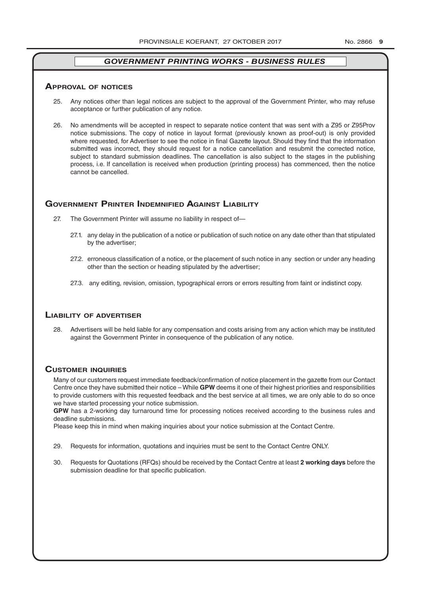### **ApprovAl of noTiCes**

- 25. Any notices other than legal notices are subject to the approval of the Government Printer, who may refuse acceptance or further publication of any notice.
- 26. No amendments will be accepted in respect to separate notice content that was sent with a Z95 or Z95Prov notice submissions. The copy of notice in layout format (previously known as proof-out) is only provided where requested, for Advertiser to see the notice in final Gazette layout. Should they find that the information submitted was incorrect, they should request for a notice cancellation and resubmit the corrected notice, subject to standard submission deadlines. The cancellation is also subject to the stages in the publishing process, i.e. If cancellation is received when production (printing process) has commenced, then the notice cannot be cancelled.

### **governmenT prinTer indemnified AgAinsT liAbiliTy**

- 27. The Government Printer will assume no liability in respect of—
	- 27.1. any delay in the publication of a notice or publication of such notice on any date other than that stipulated by the advertiser;
	- 27.2. erroneous classification of a notice, or the placement of such notice in any section or under any heading other than the section or heading stipulated by the advertiser;
	- 27.3. any editing, revision, omission, typographical errors or errors resulting from faint or indistinct copy.

### **liAbiliTy of AdverTiser**

28. Advertisers will be held liable for any compensation and costs arising from any action which may be instituted against the Government Printer in consequence of the publication of any notice.

### **CusTomer inQuiries**

Many of our customers request immediate feedback/confirmation of notice placement in the gazette from our Contact Centre once they have submitted their notice – While **GPW** deems it one of their highest priorities and responsibilities to provide customers with this requested feedback and the best service at all times, we are only able to do so once we have started processing your notice submission.

**GPW** has a 2-working day turnaround time for processing notices received according to the business rules and deadline submissions.

Please keep this in mind when making inquiries about your notice submission at the Contact Centre.

- 29. Requests for information, quotations and inquiries must be sent to the Contact Centre ONLY.
- 30. Requests for Quotations (RFQs) should be received by the Contact Centre at least **2 working days** before the submission deadline for that specific publication.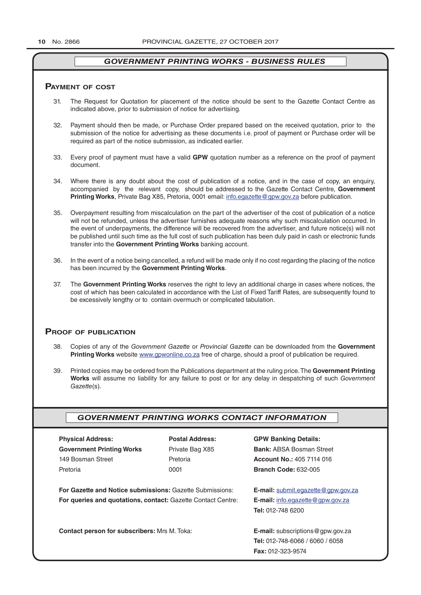### **pAymenT of CosT**

- 31. The Request for Quotation for placement of the notice should be sent to the Gazette Contact Centre as indicated above, prior to submission of notice for advertising.
- 32. Payment should then be made, or Purchase Order prepared based on the received quotation, prior to the submission of the notice for advertising as these documents i.e. proof of payment or Purchase order will be required as part of the notice submission, as indicated earlier.
- 33. Every proof of payment must have a valid **GPW** quotation number as a reference on the proof of payment document.
- 34. Where there is any doubt about the cost of publication of a notice, and in the case of copy, an enquiry, accompanied by the relevant copy, should be addressed to the Gazette Contact Centre, **Government Printing Works**, Private Bag X85, Pretoria, 0001 email: info.egazette@gpw.gov.za before publication.
- 35. Overpayment resulting from miscalculation on the part of the advertiser of the cost of publication of a notice will not be refunded, unless the advertiser furnishes adequate reasons why such miscalculation occurred. In the event of underpayments, the difference will be recovered from the advertiser, and future notice(s) will not be published until such time as the full cost of such publication has been duly paid in cash or electronic funds transfer into the **Government Printing Works** banking account.
- 36. In the event of a notice being cancelled, a refund will be made only if no cost regarding the placing of the notice has been incurred by the **Government Printing Works**.
- 37. The **Government Printing Works** reserves the right to levy an additional charge in cases where notices, the cost of which has been calculated in accordance with the List of Fixed Tariff Rates, are subsequently found to be excessively lengthy or to contain overmuch or complicated tabulation.

### **proof of publiCATion**

- 38. Copies of any of the *Government Gazette* or *Provincial Gazette* can be downloaded from the **Government Printing Works** website www.gpwonline.co.za free of charge, should a proof of publication be required.
- 39. Printed copies may be ordered from the Publications department at the ruling price. The **Government Printing Works** will assume no liability for any failure to post or for any delay in despatching of such *Government Gazette*(s).

### *GOVERNMENT PRINTING WORKS CONTACT INFORMATION*

| <b>Physical Address:</b>                                 | <b>Postal Address:</b>                                              | <b>GPW Banking Details:</b>               |
|----------------------------------------------------------|---------------------------------------------------------------------|-------------------------------------------|
| <b>Government Printing Works</b>                         | Private Bag X85                                                     | <b>Bank: ABSA Bosman Street</b>           |
| 149 Bosman Street                                        | Pretoria                                                            | <b>Account No.: 405 7114 016</b>          |
| Pretoria                                                 | 0001                                                                | <b>Branch Code: 632-005</b>               |
| For Gazette and Notice submissions: Gazette Submissions: |                                                                     | <b>E-mail:</b> submit.eqazette@gpw.gov.za |
|                                                          | <b>For queries and quotations, contact: Gazette Contact Centre:</b> |                                           |
|                                                          |                                                                     | <b>Tel: 012-748 6200</b>                  |
| <b>Contact person for subscribers: Mrs M. Toka:</b>      | <b>E-mail:</b> subscriptions $@$ gpw.gov.za                         |                                           |
|                                                          |                                                                     | <b>Tel: 012-748-6066 / 6060 / 6058</b>    |
|                                                          |                                                                     | Fax: 012-323-9574                         |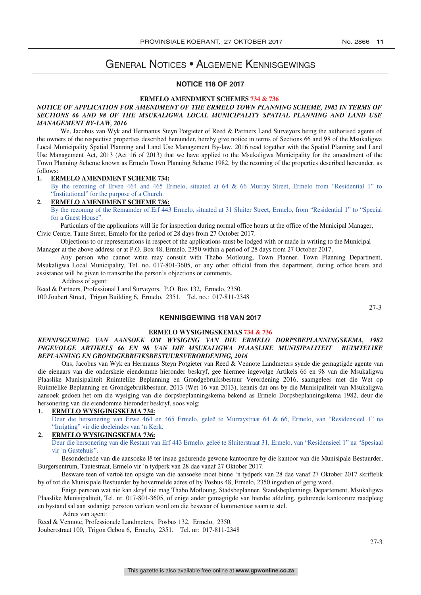# General Notices • Algemene Kennisgewings

### **NOTICE 118 OF 2017**

### **ERMELO AMENDMENT SCHEMES 734 & 736**

### *NOTICE OF APPLICATION FOR AMENDMENT OF THE ERMELO TOWN PLANNING SCHEME, 1982 IN TERMS OF*  NOTICE OF ALLEGATION FOR AMENDMENT OF THE ERMEEO TOWN LEANNING SCHEME, 1982 IN LERMS OF<br>SECTIONS 66 AND 98 OF THE MSUKALIGWA LOCAL MUNICIPALITY SPATIAL PLANNING AND LAND USE *MANAGEMENT BY-LAW, 2016 NOTICE OF APPLICATION FOR AMENDMENT OF THE ERMELO TOWN PLANNING SCHEME, 1982 IN TERMS OF*

We, Jacobus van Wyk and Hermanus Steyn Potgieter of Reed & Partners Land Surveyors being the authorised agents of we, *secous* van wyk and riefmanus steyn rotgieter of Reed & *r*affilers Land surveyors being the authorised agents of the respective properties described hereunder, hereby give notice in terms of Sections 66 and 98 of the Local Municipality Spatial Planning and Land Use Management By-law, 2016 read together with the Spatial Planning and Land Use Management Act, 2013 (Act 16 of 2013) that we have applied to the Msukaligwa Municipality for the amendment of the Town Planning Scheme known as Ermelo Town Planning Scheme 1982, by the rezoning of the properties described hereunder, as follows: **1. ERMELO AMENDMENT SCHEME 734:**<br>1. ERMELO AMENDMENT SCHEME 734: USE Management Actualism and Management Actualism application of the Municipality of the Municipality for the Municipality for the Municipality for the amendment of the amendment of the Municipality for the amendment of th

By the rezoning of Erven 464 and 465 Ermelo, situated at 64 & 66 Murray Street, Ermelo from "Residential 1" to For the region of Erven 404 and 405. Extensive the purpose of a Church. 2. ERMELO AMENDMENT SCHEME 736:

By the rezoning of the Remainder of Erf 443 Ermelo, situated at 31 Sluiter Street, Ermelo, from "Residential 1" to "Special for a Guest House". **2. EXAMPLE 2. EXAMPLE 736:** The **AMERICA** Of EXPERIMENT SCHEME 74

Particulars of the applications will lie for inspection during normal office hours at the office of the Municipal Manager, Tautedials of the appreadibility with the form spectron during normal order in Civic Centre, Taute Street, Ermelo for the period of 28 days from 27 October 2017.

 $\alpha$  and succe, Efficio for the period of 26 days from 27 October 2017.<br>Objections to or representations in respect of the applications must be lodged with or made in writing to the Municipal Manager at the above address or at P.O. Box 48, Ermelo, 2350 within a period of 28 days from 27 October 2017.

at the above address of at 1.0. Box 46, Ernelo, 2550 whilm a period or 26 days from 27 October 2017.<br>Any person who cannot write may consult with Thabo Motloung, Town Planner, Town Planning Department, Msukaligwa Local Municipality, Tel. no. 017-801-3605, or any other official from this department, during office hours and assistance will be given to transcribe the person's objections or comments.<br>Address of a satisfy  $\frac{1}{2}$  and  $\frac{1}{2}$  may consult with Thabo Motloung, Thabo Motloung, Thabo Motloung, Thabo Motloung Department, Thabo Motloung and  $\frac{1}{2}$ 

Address of agent:

Reed & Partners, Professional Land Surveyors, P.O. Box 132, Ermelo, 2350. 100 Joubert Street, Trigon Building 6, Ermelo, 2351. Tel. no.: 017-811-2348

 $R_{\text{E}}$  represents the Partia Burning of Ermelo, 2331. Fer. no., 017-011-23.

27-3

## **KENNISGEWING 118 VAN 2017**

# **ERMELO WYSIGINGSKEMAS 734 & 736**

### *INGEVOLGE ARTIKELS 66 EN 98 VAN DIE MSUKALIGWA PLAASLIKE MUNISIPALITEIT RUIMTELIKE KENNISGEWING VAN AANSOEK OM WYSIGING VAN DIE ERMELO DORPSBEPLANNINGSKEMA, 1982 BEPLANNING EN GRONDGEBRUIKSBESTUURSVERORDENING, 2016 INGEVOLGE ARTIKELS 66 EN 98 VAN DIE MSUKALIGWA PLAASLIKE MUNISIPALITEIT RUIMTELIKE*  Ons, Jacobus van Wyk en Hermanus Steyn Potgieter van Reed & Vennote Landmeters synde die gemagtigde agente van *BEPLANNING EN GRONDGEBRUIKSBESTUURSVERORDENING, 2016*

Ons, Jacobus van Wyk en Hermanus Steyn Potgieter van Reed & Vennote Landmeters synde die gemagtigde agente van die eienaars van die onderskeie eiendomme hieronder beskryf, gee hiermee ingevolge Artikels 66 en 98 van die Msukaligwa Plaaslike Munisipaliteit Ruimtelike Beplanning en Grondgebruiksbestuur Verordening 2016, saamgelees met die Wet op Ruimtelike Beplanning en Grondgebruikbestuur, 2013 (Wet 16 van 2013), kennis dat ons by die Munisipaliteit van Msukaligwa hersonering van die eiendomme hieronder beskryf, soos volg: eien hieronder beskryf, soos volg: eien hieronder bekend as Ermelo Dorpsbeplanningskema 1982, deur die **1. ERMELO WYSIGINGSKEMA 734:** hersonering van die eiendomme hieronder beskryf, soos volg: nersonering van die eiendemine indicatel eerste y<sub>n</sub>, soos vorg.<br>1. ERMELO WYSIGINGSKEMA 734:

Deur die hersonering van Erwe 464 en 465 Ermelo, geleë te Murraystraat 64 & 66, Ermelo, van "Residensieel 1" na **2. ERMELO WYSIGINGSKEMA 736:** "Inrigting" vir die doeleindes van 'n Kerk. Deur die hersonering van die Restant van Erf 443 Ermelo, geleë te Sluiterstraat 31, Ermelo, van "Residensieel 1" na "Spesiaal **2. ERMELO WYSIGINGSKEMA 736:**

Daur die bersone Deur die hersonering van die Restant van Erf 443 Ermelo, geleë te Sluiterstraat 31, Ermelo, van "Residensieel 1" na "Spesiaal<br>vir 'n Gestebuie" vir 'n Gastehuis".

Besonderhede van die aansoeke lê ter insae gedurende gewone kantoorure by die kantoor van die Munisipale Bestuurder, Burgersentrum, Tautestraat, Ermelo vir 'n tydperk van 28 dae vanaf 27 Oktober 2017.

Besware teen of vertoë ten opsigte van die aansoeke moet binne 'n tydperk van 28 dae vanaf 27 Oktober 2017 skriftelik by of tot die Munisipale Bestuurder by bovermelde adres of by Posbus 48, Ermelo, 2350 ingedien of gerig word.

Enige persoon wat nie kan skryf nie mag Thabo Motloung, Stadsbeplanner, Standsbeplannings Departement, Msukaligwa en bystand sal aan sodanie bestwaard verleen word om die bestwaard saam te stel. In the stelling of the stelling of the stelling, gedurende kantoorure raadpleeg Adres van de van de van de van de van de van de van de van de van de van de van de van de van de van de van de<br>Adres van de van de van de van de van de van de van de van de van de van de van de van de van de van de van de en bystand sal aan sodanige persoon verleen word om die beswaar of kommentaar saam te stel.<br>Adree van soort:

Adres van agent:

Reed & Vennote, Professionele Landmeters, Posbus 132, Ermelo, 2350.

Joubertstraat 100, Trigon Gebou 6, Ermelo, 2351. Tel. nr: 017-811-2348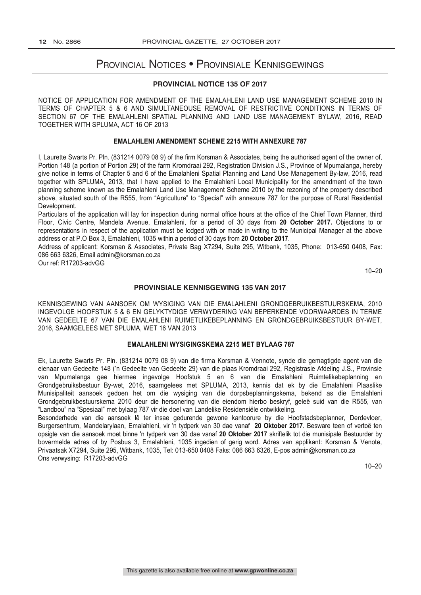# Provincial Notices • Provinsiale Kennisgewings

### **PROVINCIAL NOTICE 135 OF 2017**

NOTICE OF APPLICATION FOR AMENDMENT OF THE EMALAHLENI LAND USE MANAGEMENT SCHEME 2010 IN TERMS OF CHAPTER 5 & 6 AND SIMULTANEOUSE REMOVAL OF RESTRICTIVE CONDITIONS IN TERMS OF SECTION 67 OF THE EMALAHLENI SPATIAL PLANNING AND LAND USE MANAGEMENT BYLAW, 2016, READ TOGETHER WITH SPLUMA, ACT 16 OF 2013

### **EMALAHLENI AMENDMENT SCHEME 2215 WITH ANNEXURE 787**

I, Laurette Swarts Pr. Pln. (831214 0079 08 9) of the firm Korsman & Associates, being the authorised agent of the owner of, Portion 148 (a portion of Portion 29) of the farm Kromdraai 292, Registration Division J.S., Province of Mpumalanga, hereby give notice in terms of Chapter 5 and 6 of the Emalahleni Spatial Planning and Land Use Management By-law, 2016, read together with SPLUMA, 2013, that I have applied to the Emalahleni Local Municipality for the amendment of the town planning scheme known as the Emalahleni Land Use Management Scheme 2010 by the rezoning of the property described above, situated south of the R555, from "Agriculture" to "Special" with annexure 787 for the purpose of Rural Residential Development.

Particulars of the application will lay for inspection during normal office hours at the office of the Chief Town Planner, third Floor, Civic Centre, Mandela Avenue, Emalahleni, for a period of 30 days from **20 October 2017.** Objections to or representations in respect of the application must be lodged with or made in writing to the Municipal Manager at the above address or at P.O Box 3, Emalahleni, 1035 within a period of 30 days from **20 October 2017**.

Address of applicant: Korsman & Associates, Private Bag X7294, Suite 295, Witbank, 1035, Phone: 013-650 0408, Fax: 086 663 6326, Email admin@korsman.co.za

Our ref: R17203-advGG

10–20

### **PROVINSIALE KENNISGEWING 135 VAN 2017**

KENNISGEWING VAN AANSOEK OM WYSIGING VAN DIE EMALAHLENI GRONDGEBRUIKBESTUURSKEMA, 2010 INGEVOLGE HOOFSTUK 5 & 6 EN GELYKTYDIGE VERWYDERING VAN BEPERKENDE VOORWAARDES IN TERME VAN GEDEELTE 67 VAN DIE EMALAHLENI RUIMETLIKEBEPLANNING EN GRONDGEBRUIKSBESTUUR BY-WET, 2016, SAAMGELEES MET SPLUMA, WET 16 VAN 2013

### **EMALAHLENI WYSIGINGSKEMA 2215 MET BYLAAG 787**

Ek, Laurette Swarts Pr. Pln. (831214 0079 08 9) van die firma Korsman & Vennote, synde die gemagtigde agent van die eienaar van Gedeelte 148 ('n Gedeelte van Gedeelte 29) van die plaas Kromdraai 292, Registrasie Afdeling J.S., Provinsie van Mpumalanga gee hiermee ingevolge Hoofstuk 5 en 6 van die Emalahleni Ruimtelikebeplanning en Grondgebruiksbestuur By-wet, 2016, saamgelees met SPLUMA, 2013, kennis dat ek by die Emalahleni Plaaslike Munisipaliteit aansoek gedoen het om die wysiging van die dorpsbeplanningskema, bekend as die Emalahleni Grondgebruikbestuurskema 2010 deur die hersonering van die eiendom hierbo beskryf, geleë suid van die R555, van "Landbou" na "Spesiaal" met bylaag 787 vir die doel van Landelike Residensiële ontwikkeling.

Besonderhede van die aansoek lê ter insae gedurende gewone kantoorure by die Hoofstadsbeplanner, Derdevloer, Burgersentrum, Mandelarylaan, Emalahleni, vir 'n tydperk van 30 dae vanaf **20 Oktober 2017**. Besware teen of vertoë ten opsigte van die aansoek moet binne 'n tydperk van 30 dae vanaf **20 Oktober 2017** skriftelik tot die munisipale Bestuurder by bovermelde adres of by Posbus 3, Emalahleni, 1035 ingedien of gerig word. Adres van applikant: Korsman & Venote, Privaatsak X7294, Suite 295, Witbank, 1035, Tel: 013-650 0408 Faks: 086 663 6326, E-pos admin@korsman.co.za Ons verwysing: R17203-advGG

10–20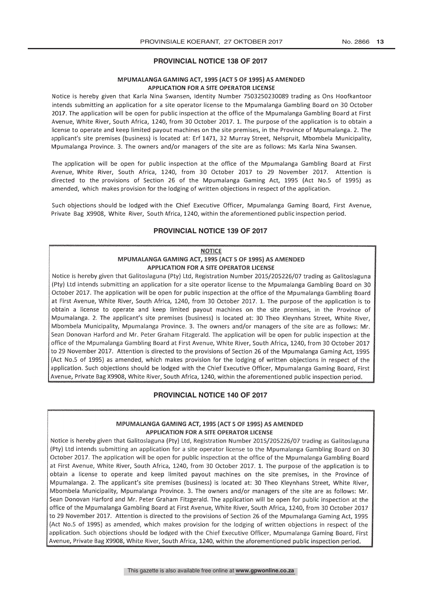### **PROVINCIAL NOTICE 138 OF 2017**

### **MPUMALANGA GAMING ACT, 1995 (ACT 5 OF 1995) AS AMENDED APPLICATION FOR A SITE OPERATOR LICENSE**

Notice is hereby given that Karla Nina Swansen, Identity Number 7503250230089 trading as Ons Hoofkantoor intends submitting an application for a site operator license to the Mpumalanga Gambling Board on 30 October 2017. The application will be open for public inspection at the office of the Mpumalanga Gambling Board at First Avenue, White River, South Africa, 1240, from 30 October 2017. 1. The purpose of the application is to obtain a license to operate and keep limited payout machines on the site premises, in the Province of Mpumalanga. 2. The applicant's site premises (business) is located at: Erf 1471, 32 Murray Street, Nelspruit, Mbombela Municipality, Mpumalanga Province. 3. The owners and/or managers of the site are as follows: Ms Karla Nina Swansen.

The application will be open for public inspection at the office of the Mpumalanga Gambling Board at First Avenue, White River, South Africa, 1240, from 30 October 2017 to 29 November 2017. Attention is directed to the provisions of Section 26 of the Mpumalanga Gaming Act, 1995 (Act No.5 of 1995) as amended, which makes provision for the lodging of written objections in respect of the application.

Such objections should be lodged with the Chief Executive Officer, Mpumalanga Gaming Board, First Avenue, Private Bag X9908, White River, South Africa, 1240, within the aforementioned public inspection period.

### **PROVINCIAL NOTICE 139 OF 2017**

### **NOTICE** MPUMALANGA GAMING ACT, 1995 (ACT 5 OF 1995) AS AMENDED APPLICATION FOR A SITE OPERATOR LICENSE

Notice is hereby given that Galitoslaguna (Pty) Ltd, Registration Number 2015/205226/07 trading as Galitoslaguna (Pty) Ltd intends submitting an application for a site operator license to the Mpumalanga Gambling Board on 30 October 2017. The application will be open for public inspection at the office of the Mpumalanga Gambling Board at First Avenue, White River, South Africa, 1240, from 30 October 2017. 1. The purpose of the application is to obtain <sup>a</sup> license to operate and keep limited payout machines on the site premises, in the Province of Mpumalanga. 2. The applicant's site premises (business) is located at: 30 Theo Kleynhans Street, White River, Mbombela Municipality, Mpumalanga Province. 3. The owners and/or managers of the site are as follows: Mr. Sean Donovan Harford and Mr. Peter Graham Fitzgerald. The application will be open for public inspection at the office of the Mpumalanga Gambling Board at First Avenue, White River, South Africa, 1240, from 30 October 2017 to 29 November 2017. Attention is directed to the provisions of Section 26 of the Mpumalanga Gaming Act, 1995 (Act No.5 of 1995) as amended, which makes provision for the lodging of written objections in respect of the application. Such objections should be lodged with the Chief Executive Officer, Mpumalanga Gaming Board, First Avenue, Private Bag X9908, White River, South Africa, 1240, within the aforementioned public inspection period.

### **PROVINCIAL NOTICE 140 OF 2017**

### MPUMALANGA GAMING ACT, 1995 (ACT 5 OF 1995) AS AMENDED **APPLICATION FOR A SITE OPERATOR LICENSE**

Notice is hereby given that Galitoslaguna (Pty) Ltd, Registration Number 2015/205226/07 trading as Galitoslaguna (Pty) Ltd intends submitting an application for a site operator license to the Mpumalanga Gambling Board on 30 October 2017. The application will be open for public inspection at the office of the Mpumalanga Gambling Board at First Avenue, White River, South Africa, 1240, from 30 October 2017. 1. The purpose of the application is to obtain a license to operate and keep limited payout machines on the site premises, in the Province of Mpumalanga. 2. The applicant's site premises (business) is located at: 30 Theo Kleynhans Street, White River, Mbombela Municipality, Mpumalanga Province. 3. The owners and/or managers of the site are as follows: Mr. Sean Donovan Harford and Mr. Peter Graham Fitzgerald. The application will be open for public inspection at the office of the Mpumalanga Gambling Board at First Avenue, White River, South Africa, 1240, from 30 October 2017 to 29 November 2017. Attention is directed to the provisions of Section 26 of the Mpumalanga Gaming Act, 1995 (Act No.5 of 1995) as amended, which makes provision for the lodging of written objections in respect of the application. Such objections should be lodged with the Chief Executive Officer, Mpumalanga Gaming Board, First Avenue, Private Bag X9908, White River, South Africa, 1240, within the aforementioned public inspection period.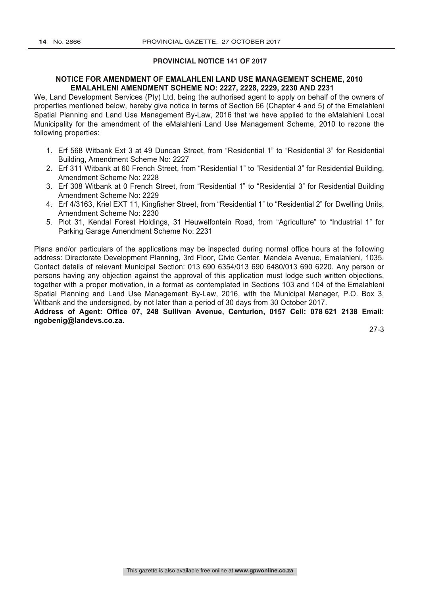### **PROVINCIAL NOTICE 141 OF 2017**

### **NOTICE FOR AMENDMENT OF EMALAHLENI LAND USE MANAGEMENT SCHEME, 2010 EMALAHLENI AMENDMENT SCHEME NO: 2227, 2228, 2229, 2230 AND 2231**

We, Land Development Services (Pty) Ltd, being the authorised agent to apply on behalf of the owners of properties mentioned below, hereby give notice in terms of Section 66 (Chapter 4 and 5) of the Emalahleni Spatial Planning and Land Use Management By-Law, 2016 that we have applied to the eMalahleni Local Municipality for the amendment of the eMalahleni Land Use Management Scheme, 2010 to rezone the following properties:

- 1. Erf 568 Witbank Ext 3 at 49 Duncan Street, from "Residential 1" to "Residential 3" for Residential Building, Amendment Scheme No: 2227
- 2. Erf 311 Witbank at 60 French Street, from "Residential 1" to "Residential 3" for Residential Building, Amendment Scheme No: 2228
- 3. Erf 308 Witbank at 0 French Street, from "Residential 1" to "Residential 3" for Residential Building Amendment Scheme No: 2229
- 4. Erf 4/3163, Kriel EXT 11, Kingfisher Street, from "Residential 1" to "Residential 2" for Dwelling Units, Amendment Scheme No: 2230
- 5. Plot 31, Kendal Forest Holdings, 31 Heuwelfontein Road, from "Agriculture" to "Industrial 1" for Parking Garage Amendment Scheme No: 2231

Plans and/or particulars of the applications may be inspected during normal office hours at the following address: Directorate Development Planning, 3rd Floor, Civic Center, Mandela Avenue, Emalahleni, 1035. Contact details of relevant Municipal Section: 013 690 6354/013 690 6480/013 690 6220. Any person or persons having any objection against the approval of this application must lodge such written objections, together with a proper motivation, in a format as contemplated in Sections 103 and 104 of the Emalahleni Spatial Planning and Land Use Management By-Law, 2016, with the Municipal Manager, P.O. Box 3, Witbank and the undersigned, by not later than a period of 30 days from 30 October 2017.

**Address of Agent: Office 07, 248 Sullivan Avenue, Centurion, 0157 Cell: 078 621 2138 Email: ngobenig@landevs.co.za.**

27-3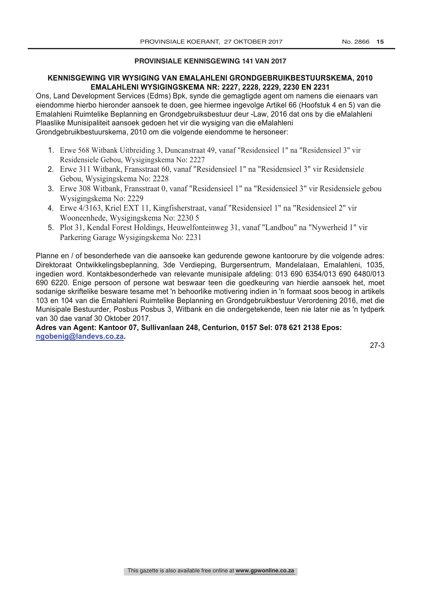### **PROVINSIALE KENNISGEWING 141 VAN 2017**

### **KENNISGEWING VIR WYSIGING VAN EMALAHLENI GRONDGEBRUIKBESTUURSKEMA, 2010 EMALAHLENI WYSIGINGSKEMA NR: 2227, 2228, 2229, 2230 EN 2231**

Ons, Land Development Services (Edms) Bpk, synde die gemagtigde agent om namens die eienaars van eiendomme hierbo hieronder aansoek te doen, gee hiermee ingevolge Artikel 66 (Hoofstuk 4 en 5) van die Emalahleni Ruimtelike Beplanning en Grondgebruiksbestuur deur -Law, 2016 dat ons by die eMalahleni Plaaslike Munisipaliteit aansoek gedoen het vir die wysiging van die eMalahleni Grondgebruikbestuurskema, 2010 om die volgende eiendomme te hersoneer:

- 1. Erwe 568 Witbank Uitbreiding 3, Duncanstraat 49, vanaf "Residensieel 1" na "Residensieel 3" vir Residensiele Gebou, Wysigingskema No: 2227
- 2. Erwe 311 Witbank, Fransstraat 60, vanaf "Residensieel 1" na "Residensieel 3" vir Residensiele Gebou, Wysigingskema No: 2228
- 3. Erwe 308 Witbank, Fransstraat 0, vanaf "Residensieel 1" na "Residensieel 3" vir Residensiele gebou Wysigingskema No: 2229
- 4. Erwe 4/3163, Kriel EXT 11, Kingfisherstraat, vanaf "Residensieel 1" na "Residensieel 2" vir Wooneenhede, Wysigingskema No: 2230 5
- 5. Plot 31, Kendal Forest Holdings, Heuwelfonteinweg 31, vanaf "Landbou" na "Nywerheid 1" vir Parkering Garage Wysigingskema No: 2231

Planne en / of besonderhede van die aansoeke kan gedurende gewone kantoorure by die volgende adres: Direktoraat Ontwikkelingsbeplanning, 3de Verdieping, Burgersentrum, Mandelalaan, Emalahleni, 1035, ingedien word. Kontakbesonderhede van relevante munisipale afdeling: 013 690 6354/013 690 6480/013 690 6220. Enige persoon of persone wat beswaar teen die goedkeuring van hierdie aansoek het, moet sodanige skriftelike besware tesame met 'n behoorlike motivering indien in 'n formaat soos beoog in artikels 103 en 104 van die Emalahleni Ruimtelike Beplanning en Grondgebruikbestuur Verordening 2016, met die Munisipale Bestuurder, Posbus Posbus 3, Witbank en die ondergetekende, teen nie later nie as 'n tydperk van 30 dae vanaf 30 Oktober 2017.

**Adres van Agent: Kantoor 07, Sullivanlaan 248, Centurion, 0157 Sel: 078 621 2138 Epos: ngobenig@landevs.co.za.**

27-3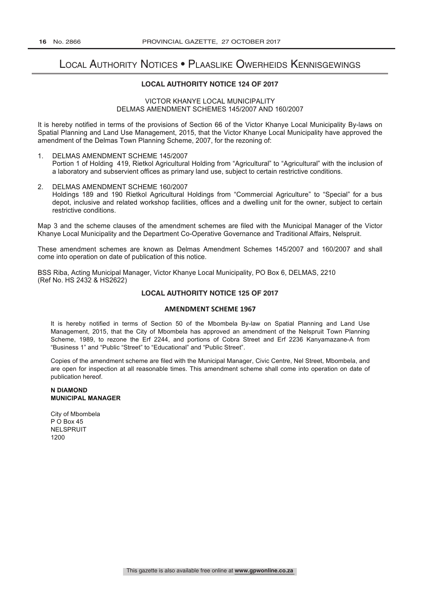# Local Authority Notices • Plaaslike Owerheids Kennisgewings

### **LOCAL AUTHORITY NOTICE 124 OF 2017**

### VICTOR KHANYE LOCAL MUNICIPALITY DELMAS AMENDMENT SCHEMES 145/2007 AND 160/2007

It is hereby notified in terms of the provisions of Section 66 of the Victor Khanye Local Municipality By-laws on Spatial Planning and Land Use Management, 2015, that the Victor Khanye Local Municipality have approved the amendment of the Delmas Town Planning Scheme, 2007, for the rezoning of:

- 1. DELMAS AMENDMENT SCHEME 145/2007 Portion 1 of Holding 419, Rietkol Agricultural Holding from "Agricultural" to "Agricultural" with the inclusion of a laboratory and subservient offices as primary land use, subject to certain restrictive conditions.
- 2. DELMAS AMENDMENT SCHEME 160/2007 Holdings 189 and 190 Rietkol Agricultural Holdings from "Commercial Agriculture" to "Special" for a bus depot, inclusive and related workshop facilities, offices and a dwelling unit for the owner, subject to certain restrictive conditions.

Map 3 and the scheme clauses of the amendment schemes are filed with the Municipal Manager of the Victor Khanye Local Municipality and the Department Co-Operative Governance and Traditional Affairs, Nelspruit.

These amendment schemes are known as Delmas Amendment Schemes 145/2007 and 160/2007 and shall come into operation on date of publication of this notice.

BSS Riba, Acting Municipal Manager, Victor Khanye Local Municipality, PO Box 6, DELMAS, 2210 (Ref No. HS 2432 & HS2622)

### **LOCAL AUTHORITY NOTICE 125 OF 2017**

### **AMENDMENT SCHEME 1967**

It is hereby notified in terms of Section 50 of the Mbombela By-law on Spatial Planning and Land Use Management, 2015, that the City of Mbombela has approved an amendment of the Nelspruit Town Planning Scheme, 1989, to rezone the Erf 2244, and portions of Cobra Street and Erf 2236 Kanyamazane-A from "Business 1" and "Public "Street" to "Educational" and "Public Street".

Copies of the amendment scheme are filed with the Municipal Manager, Civic Centre, Nel Street, Mbombela, and are open for inspection at all reasonable times. This amendment scheme shall come into operation on date of publication hereof.

### **N DIAMOND MUNICIPAL MANAGER**

City of Mbombela P O Box 45 NELSPRUIT 1200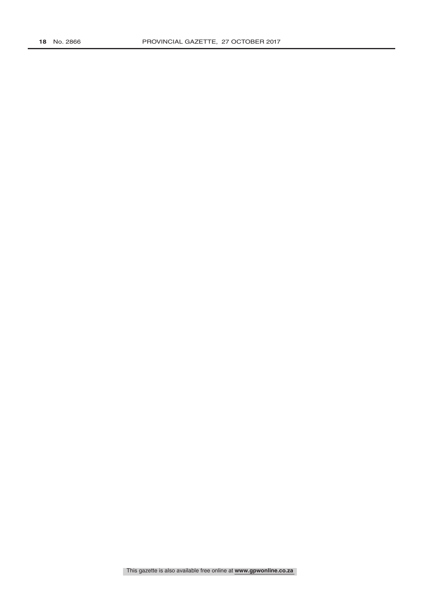This gazette is also available free online at **www.gpwonline.co.za**